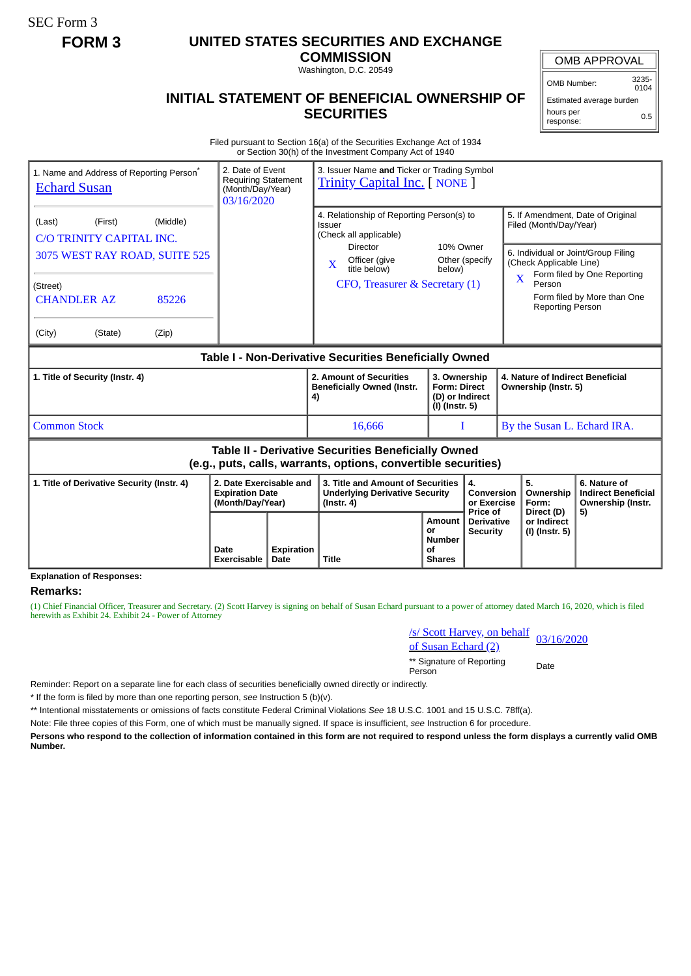SEC Form 3

# **FORM 3 UNITED STATES SECURITIES AND EXCHANGE**

**COMMISSION** Washington, D.C. 20549

#### OMB APPROVAL

OMB Number: 3235-  $0104$ 

Estimated average burden hours per response: 0.5

### **INITIAL STATEMENT OF BENEFICIAL OWNERSHIP OF SECURITIES**

Filed pursuant to Section 16(a) of the Securities Exchange Act of 1934 or Section 30(h) of the Investment Company Act of 1940

| 1. Name and Address of Reporting Person <sup>*</sup><br><b>Echard Susan</b>                                                                                         |                            | 3. Issuer Name and Ticker or Trading Symbol<br>2. Date of Event<br><b>Requiring Statement</b><br><b>Trinity Capital Inc.</b> [ NONE ]<br>(Month/Day/Year)<br>03/16/2020 |                                                                                                                                                                   |                                                                          |                                                  |                                                                                                                                                                                                                                                             |                                             |                                                                 |
|---------------------------------------------------------------------------------------------------------------------------------------------------------------------|----------------------------|-------------------------------------------------------------------------------------------------------------------------------------------------------------------------|-------------------------------------------------------------------------------------------------------------------------------------------------------------------|--------------------------------------------------------------------------|--------------------------------------------------|-------------------------------------------------------------------------------------------------------------------------------------------------------------------------------------------------------------------------------------------------------------|---------------------------------------------|-----------------------------------------------------------------|
| (Middle)<br>(First)<br>(Last)<br>C/O TRINITY CAPITAL INC.<br>3075 WEST RAY ROAD, SUITE 525<br>(Street)<br><b>CHANDLER AZ</b><br>85226<br>(State)<br>(City)<br>(Zip) |                            |                                                                                                                                                                         | 4. Relationship of Reporting Person(s) to<br>Issuer<br>(Check all applicable)<br>Director<br>Officer (give<br>X<br>title below)<br>CFO, Treasurer & Secretary (1) | 10% Owner<br>Other (specify<br>below)                                    |                                                  | 5. If Amendment, Date of Original<br>Filed (Month/Day/Year)<br>6. Individual or Joint/Group Filing<br>(Check Applicable Line)<br>Form filed by One Reporting<br>$\overline{\mathbf{X}}$<br>Person<br>Form filed by More than One<br><b>Reporting Person</b> |                                             |                                                                 |
| Table I - Non-Derivative Securities Beneficially Owned                                                                                                              |                            |                                                                                                                                                                         |                                                                                                                                                                   |                                                                          |                                                  |                                                                                                                                                                                                                                                             |                                             |                                                                 |
| 1. Title of Security (Instr. 4)                                                                                                                                     |                            |                                                                                                                                                                         | 2. Amount of Securities<br><b>Beneficially Owned (Instr.</b><br>4)                                                                                                | 3. Ownership<br><b>Form: Direct</b><br>(D) or Indirect<br>(I) (Instr. 5) |                                                  | 4. Nature of Indirect Beneficial<br>Ownership (Instr. 5)                                                                                                                                                                                                    |                                             |                                                                 |
| <b>Common Stock</b>                                                                                                                                                 |                            |                                                                                                                                                                         | 16,666                                                                                                                                                            |                                                                          | т                                                |                                                                                                                                                                                                                                                             | By the Susan L. Echard IRA.                 |                                                                 |
| <b>Table II - Derivative Securities Beneficially Owned</b><br>(e.g., puts, calls, warrants, options, convertible securities)                                        |                            |                                                                                                                                                                         |                                                                                                                                                                   |                                                                          |                                                  |                                                                                                                                                                                                                                                             |                                             |                                                                 |
| 2. Date Exercisable and<br>1. Title of Derivative Security (Instr. 4)<br><b>Expiration Date</b><br>(Month/Day/Year)                                                 |                            |                                                                                                                                                                         | 3. Title and Amount of Securities<br><b>Underlying Derivative Security</b><br>$($ lnstr. 4 $)$                                                                    |                                                                          | 4.<br>Conversion<br>or Exercise                  |                                                                                                                                                                                                                                                             | 5.<br>Ownership<br>Form:                    | 6. Nature of<br><b>Indirect Beneficial</b><br>Ownership (Instr. |
|                                                                                                                                                                     | Date<br><b>Exercisable</b> | <b>Expiration</b><br>Date                                                                                                                                               | <b>Title</b>                                                                                                                                                      | Amount<br>or<br><b>Number</b><br>Ωf<br><b>Shares</b>                     | Price of<br><b>Derivative</b><br><b>Security</b> |                                                                                                                                                                                                                                                             | Direct (D)<br>or Indirect<br>(I) (Instr. 5) | 5)                                                              |

## **Explanation of Responses:**

**Remarks:**

(1) Chief Financial Officer, Treasurer and Secretary. (2) Scott Harvey is signing on behalf of Susan Echard pursuant to a power of attorney dated March 16, 2020, which is filed herewith as Exhibit 24. Exhibit 24 - Power of Attorney

> /s/ Scott Harvey, on behalf <u>s/s Scott Harvey, on behalf</u> 03/16/2020<br>of Susan Echard (2)

\*\* Signature of Reporting Person Date

Reminder: Report on a separate line for each class of securities beneficially owned directly or indirectly.

\* If the form is filed by more than one reporting person, *see* Instruction 5 (b)(v).

\*\* Intentional misstatements or omissions of facts constitute Federal Criminal Violations *See* 18 U.S.C. 1001 and 15 U.S.C. 78ff(a).

Note: File three copies of this Form, one of which must be manually signed. If space is insufficient, *see* Instruction 6 for procedure.

**Persons who respond to the collection of information contained in this form are not required to respond unless the form displays a currently valid OMB Number.**